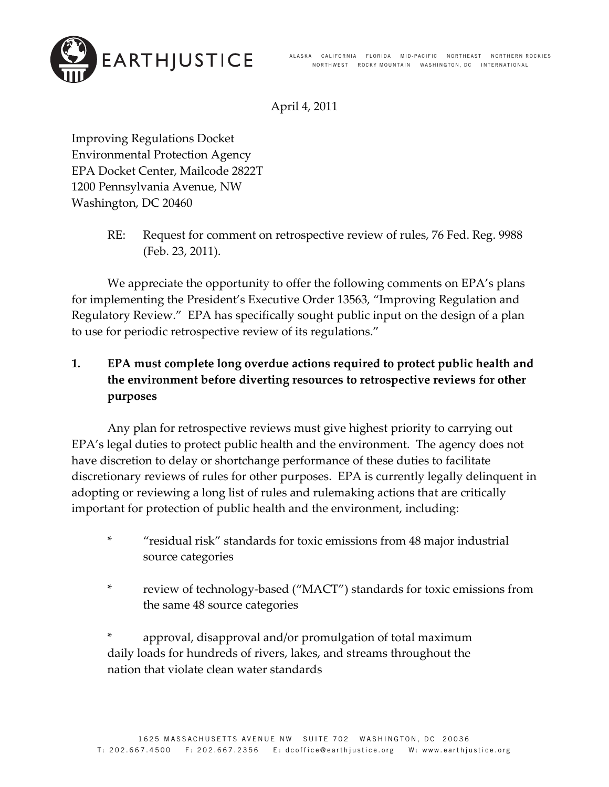

April 4, 2011

Improving Regulations Docket Environmental Protection Agency EPA Docket Center, Mailcode 2822T 1200 Pennsylvania Avenue, NW Washington, DC 20460

> RE: Request for comment on retrospective review of rules, 76 Fed. Reg. 9988 (Feb. 23, 2011).

We appreciate the opportunity to offer the following comments on EPA's plans for implementing the President's Executive Order 13563, "Improving Regulation and Regulatory Review." EPA has specifically sought public input on the design of a plan to use for periodic retrospective review of its regulations."

# **1. EPA must complete long overdue actions required to protect public health and the environment before diverting resources to retrospective reviews for other purposes**

Any plan for retrospective reviews must give highest priority to carrying out EPA's legal duties to protect public health and the environment. The agency does not have discretion to delay or shortchange performance of these duties to facilitate discretionary reviews of rules for other purposes. EPA is currently legally delinquent in adopting or reviewing a long list of rules and rulemaking actions that are critically important for protection of public health and the environment, including:

- \* "residual risk" standards for toxic emissions from 48 major industrial source categories
- \* review of technology‐based ("MACT") standards for toxic emissions from the same 48 source categories

\* approval, disapproval and/or promulgation of total maximum daily loads for hundreds of rivers, lakes, and streams throughout the nation that violate clean water standards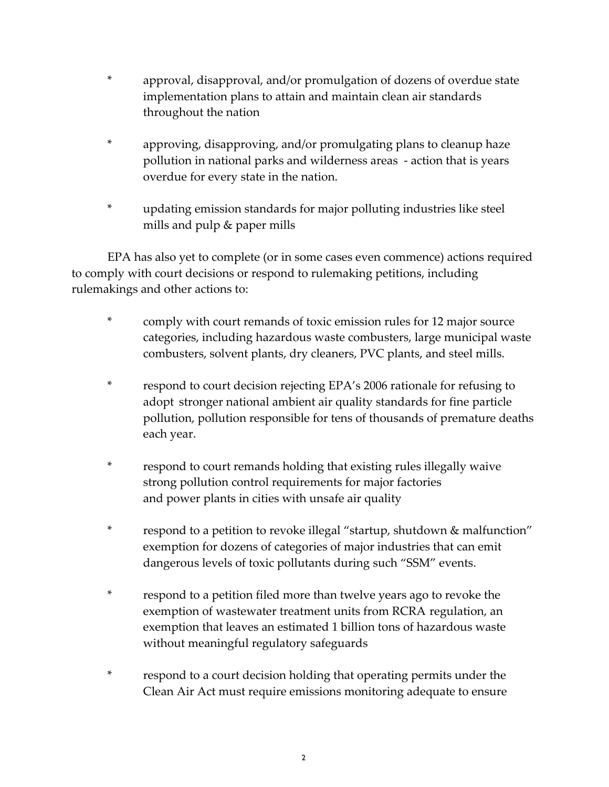- \* approval, disapproval, and/or promulgation of dozens of overdue state implementation plans to attain and maintain clean air standards throughout the nation
- \* approving, disapproving, and/or promulgating plans to cleanup haze pollution in national parks and wilderness areas ‐ action that is years overdue for every state in the nation.
- \* updating emission standards for major polluting industries like steel mills and pulp & paper mills

EPA has also yet to complete (or in some cases even commence) actions required to comply with court decisions or respond to rulemaking petitions, including rulemakings and other actions to:

- \* comply with court remands of toxic emission rules for 12 major source categories, including hazardous waste combusters, large municipal waste combusters, solvent plants, dry cleaners, PVC plants, and steel mills.
- \* respond to court decision rejecting EPA's 2006 rationale for refusing to adopt stronger national ambient air quality standards for fine particle pollution, pollution responsible for tens of thousands of premature deaths each year.
- \* respond to court remands holding that existing rules illegally waive strong pollution control requirements for major factories and power plants in cities with unsafe air quality
- \* respond to a petition to revoke illegal "startup, shutdown & malfunction" exemption for dozens of categories of major industries that can emit dangerous levels of toxic pollutants during such "SSM" events.
- \* respond to a petition filed more than twelve years ago to revoke the exemption of wastewater treatment units from RCRA regulation, an exemption that leaves an estimated 1 billion tons of hazardous waste without meaningful regulatory safeguards
- \* respond to a court decision holding that operating permits under the Clean Air Act must require emissions monitoring adequate to ensure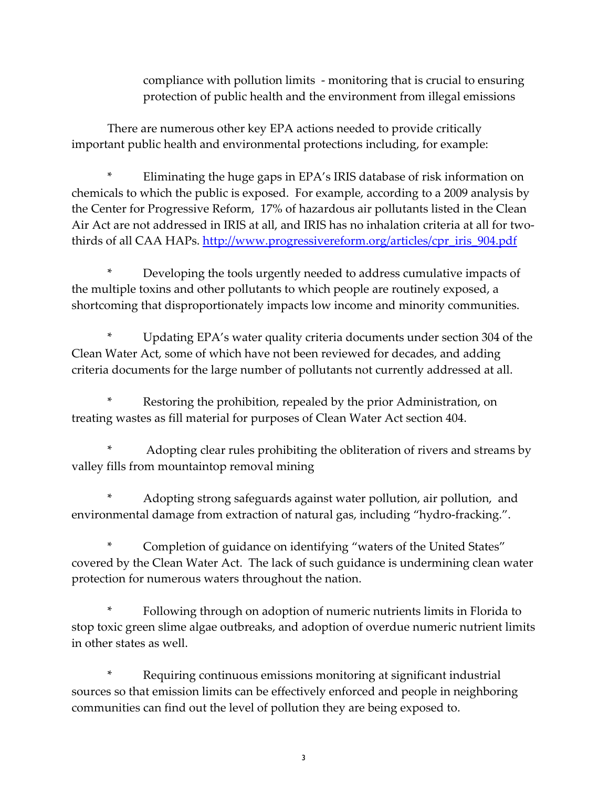compliance with pollution limits ‐ monitoring that is crucial to ensuring protection of public health and the environment from illegal emissions

There are numerous other key EPA actions needed to provide critically important public health and environmental protections including, for example:

\* Eliminating the huge gaps in EPA's IRIS database of risk information on chemicals to which the public is exposed. For example, according to a 2009 analysis by the Center for Progressive Reform, 17% of hazardous air pollutants listed in the Clean Air Act are not addressed in IRIS at all, and IRIS has no inhalation criteria at all for twothirds of all CAA HAPs. [http://www.progressivereform.org/articles/cpr\\_iris\\_904.pdf](http://www.progressivereform.org/articles/cpr_iris_904.pdf)

Developing the tools urgently needed to address cumulative impacts of the multiple toxins and other pollutants to which people are routinely exposed, a shortcoming that disproportionately impacts low income and minority communities.

Updating EPA's water quality criteria documents under section 304 of the Clean Water Act, some of which have not been reviewed for decades, and adding criteria documents for the large number of pollutants not currently addressed at all.

Restoring the prohibition, repealed by the prior Administration, on treating wastes as fill material for purposes of Clean Water Act section 404.

\* Adopting clear rules prohibiting the obliteration of rivers and streams by valley fills from mountaintop removal mining

Adopting strong safeguards against water pollution, air pollution, and environmental damage from extraction of natural gas, including "hydro‐fracking.".

Completion of guidance on identifying "waters of the United States" covered by the Clean Water Act. The lack of such guidance is undermining clean water protection for numerous waters throughout the nation.

Following through on adoption of numeric nutrients limits in Florida to stop toxic green slime algae outbreaks, and adoption of overdue numeric nutrient limits in other states as well.

Requiring continuous emissions monitoring at significant industrial sources so that emission limits can be effectively enforced and people in neighboring communities can find out the level of pollution they are being exposed to.

3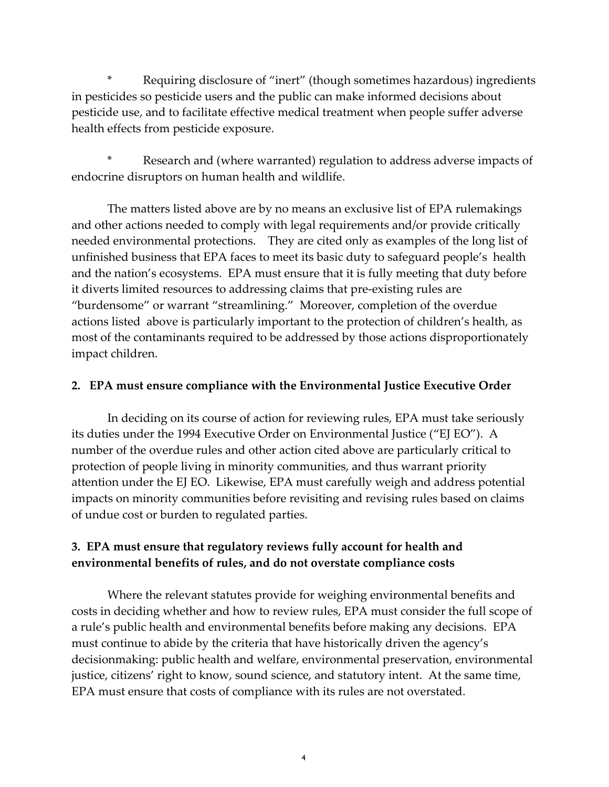Requiring disclosure of "inert" (though sometimes hazardous) ingredients in pesticides so pesticide users and the public can make informed decisions about pesticide use, and to facilitate effective medical treatment when people suffer adverse health effects from pesticide exposure.

Research and (where warranted) regulation to address adverse impacts of endocrine disruptors on human health and wildlife.

The matters listed above are by no means an exclusive list of EPA rulemakings and other actions needed to comply with legal requirements and/or provide critically needed environmental protections. They are cited only as examples of the long list of unfinished business that EPA faces to meet its basic duty to safeguard people's health and the nation's ecosystems. EPA must ensure that it is fully meeting that duty before it diverts limited resources to addressing claims that pre‐existing rules are "burdensome" or warrant "streamlining." Moreover, completion of the overdue actions listed above is particularly important to the protection of children's health, as most of the contaminants required to be addressed by those actions disproportionately impact children.

#### **2. EPA must ensure compliance with the Environmental Justice Executive Order**

In deciding on its course of action for reviewing rules, EPA must take seriously its duties under the 1994 Executive Order on Environmental Justice ("EJ EO"). A number of the overdue rules and other action cited above are particularly critical to protection of people living in minority communities, and thus warrant priority attention under the EJ EO. Likewise, EPA must carefully weigh and address potential impacts on minority communities before revisiting and revising rules based on claims of undue cost or burden to regulated parties.

## **3. EPA must ensure that regulatory reviews fully account for health and environmental benefits of rules, and do not overstate compliance costs**

Where the relevant statutes provide for weighing environmental benefits and costs in deciding whether and how to review rules, EPA must consider the full scope of a rule's public health and environmental benefits before making any decisions. EPA must continue to abide by the criteria that have historically driven the agency's decisionmaking: public health and welfare, environmental preservation, environmental justice, citizens' right to know, sound science, and statutory intent. At the same time, EPA must ensure that costs of compliance with its rules are not overstated.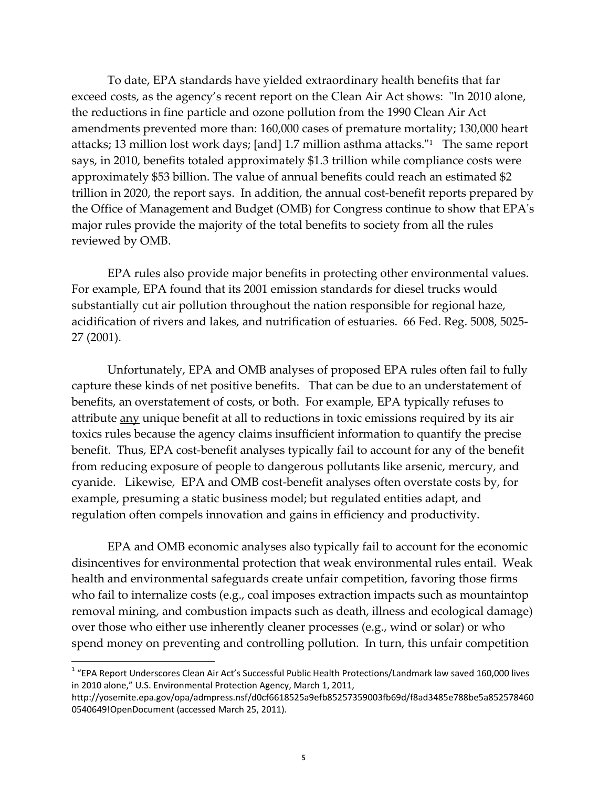To date, EPA standards have yielded extraordinary health benefits that far exceed costs, as the agency's recent report on the Clean Air Act shows: "In 2010 alone, the reductions in fine particle and ozone pollution from the 1990 Clean Air Act amendments prevented more than: 160,000 cases of premature mortality; 130,000 heart attacks; [1](#page-4-0)3 million lost work days; [and] 1.7 million asthma attacks. $11$  The same report says, in 2010, benefits totaled approximately \$1.3 trillion while compliance costs were approximately \$53 billion. The value of annual benefits could reach an estimated \$2 trillion in 2020, the report says. In addition, the annual cost‐benefit reports prepared by the Office of Management and Budget (OMB) for Congress continue to show that EPAʹs major rules provide the majority of the total benefits to society from all the rules reviewed by OMB.

EPA rules also provide major benefits in protecting other environmental values. For example, EPA found that its 2001 emission standards for diesel trucks would substantially cut air pollution throughout the nation responsible for regional haze, acidification of rivers and lakes, and nutrification of estuaries. 66 Fed. Reg. 5008, 5025‐ 27 (2001).

 Unfortunately, EPA and OMB analyses of proposed EPA rules often fail to fully capture these kinds of net positive benefits. That can be due to an understatement of benefits, an overstatement of costs, or both. For example, EPA typically refuses to attribute any unique benefit at all to reductions in toxic emissions required by its air toxics rules because the agency claims insufficient information to quantify the precise benefit. Thus, EPA cost-benefit analyses typically fail to account for any of the benefit from reducing exposure of people to dangerous pollutants like arsenic, mercury, and cyanide. Likewise, EPA and OMB cost‐benefit analyses often overstate costs by, for example, presuming a static business model; but regulated entities adapt, and regulation often compels innovation and gains in efficiency and productivity.

EPA and OMB economic analyses also typically fail to account for the economic disincentives for environmental protection that weak environmental rules entail. Weak health and environmental safeguards create unfair competition, favoring those firms who fail to internalize costs (e.g., coal imposes extraction impacts such as mountaintop removal mining, and combustion impacts such as death, illness and ecological damage) over those who either use inherently cleaner processes (e.g., wind or solar) or who spend money on preventing and controlling pollution. In turn, this unfair competition

<u> 1989 - Johann Stein, marwolaethau a bh</u>

<span id="page-4-0"></span><sup>&</sup>lt;sup>1</sup> "EPA Report Underscores Clean Air Act's Successful Public Health Protections/Landmark law saved 160,000 lives in 2010 alone," U.S. Environmental Protection Agency, March 1, 2011,

http://yosemite.epa.gov/opa/admpress.nsf/d0cf6618525a9efb85257359003fb69d/f8ad3485e788be5a852578460 0540649!OpenDocument (accessed March 25, 2011).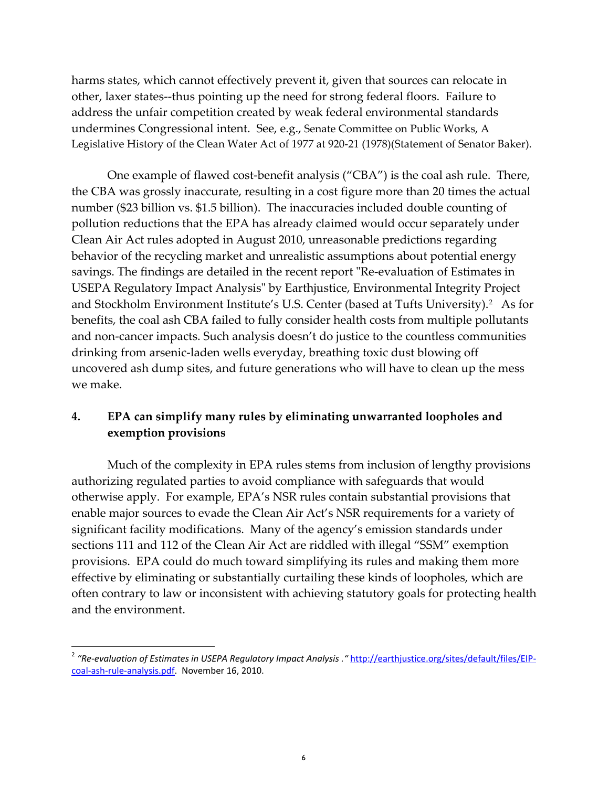harms states, which cannot effectively prevent it, given that sources can relocate in other, laxer states‐‐thus pointing up the need for strong federal floors. Failure to address the unfair competition created by weak federal environmental standards undermines Congressional intent. See, e.g., Senate Committee on Public Works, A Legislative History of the Clean Water Act of 1977 at 920‐21 (1978)(Statement of Senator Baker).

One example of flawed cost-benefit analysis ("CBA") is the coal ash rule. There, the CBA was grossly inaccurate, resulting in a cost figure more than 20 times the actual number (\$23 billion vs. \$1.5 billion). The inaccuracies included double counting of pollution reductions that the EPA has already claimed would occur separately under Clean Air Act rules adopted in August 2010, unreasonable predictions regarding behavior of the recycling market and unrealistic assumptions about potential energy savings. The findings are detailed in the recent report "Re-evaluation of Estimates in USEPA Regulatory Impact Analysis" by Earthjustice, Environmental Integrity Project and Stockholm Environment Institute's U.S. Center (based at Tufts University).<sup>[2](#page-5-0)</sup> As for benefits, the coal ash CBA failed to fully consider health costs from multiple pollutants and non-cancer impacts. Such analysis doesn't do justice to the countless communities drinking from arsenic‐laden wells everyday, breathing toxic dust blowing off uncovered ash dump sites, and future generations who will have to clean up the mess we make.

## **4. EPA can simplify many rules by eliminating unwarranted loopholes and exemption provisions**

Much of the complexity in EPA rules stems from inclusion of lengthy provisions authorizing regulated parties to avoid compliance with safeguards that would otherwise apply. For example, EPA's NSR rules contain substantial provisions that enable major sources to evade the Clean Air Act's NSR requirements for a variety of significant facility modifications. Many of the agency's emission standards under sections 111 and 112 of the Clean Air Act are riddled with illegal "SSM" exemption provisions. EPA could do much toward simplifying its rules and making them more effective by eliminating or substantially curtailing these kinds of loopholes, which are often contrary to law or inconsistent with achieving statutory goals for protecting health and the environment.

<u> 1989 - Johann Stein, marwolaethau a bh</u>

<span id="page-5-0"></span><sup>2</sup> *"Re‐evaluation of Estimates in USEPA Regulatory Impact Analysis ."* [http://earthjustice.org/sites/default/files/EIP](http://earthjustice.org/sites/default/files/EIP-coal-ash-rule-analysis.pdf)‐ coal‐ash‐rule‐[analysis.pdf.](http://earthjustice.org/sites/default/files/EIP-coal-ash-rule-analysis.pdf) November 16, 2010.